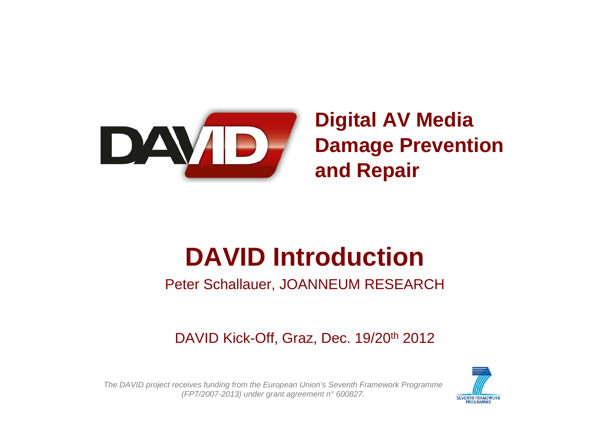

### **Digital AV Media Damage Prevention and Repair**

# **DAVID Introduction**

#### Peter Schallauer, JOANNEUM RESEARCH

DAVID Kick-Off, Graz, Dec. 19/20<sup>th</sup> 2012

*The DAVID project receives funding from the European Union's Seventh Framework Programme (FP7/2007-2013) under grant agreement n° 600827.*

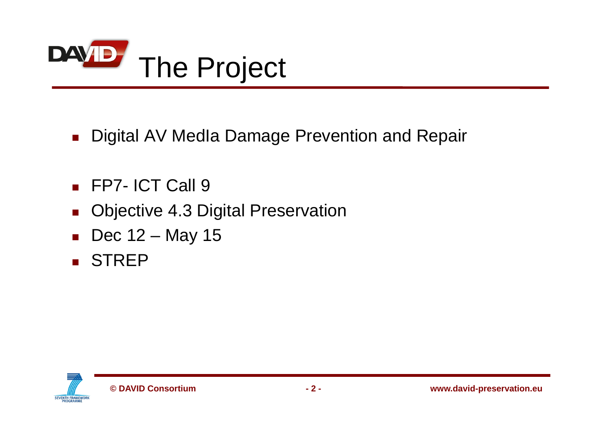

■ Digital AV MedIa Damage Prevention and Repair

- FP7- ICT Call 9
- $\mathcal{L}_{\rm{max}}$ Objective 4.3 Digital Preservation
- Dec 12 May 15
- **B** STREP

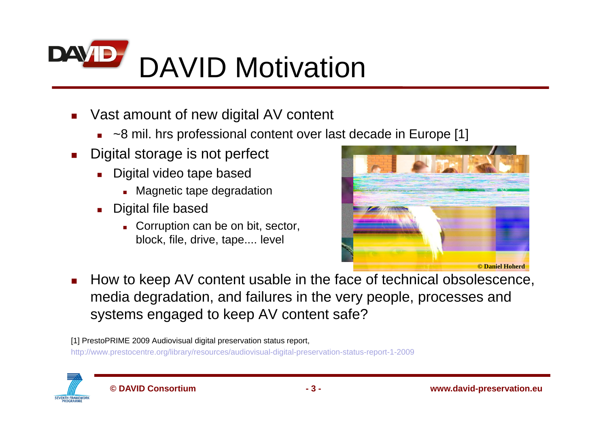

- П Vast amount of new digital AV content
	- ~8 mil. hrs professional content over last decade in Europe [1]
- $\mathbf{r}$  Digital storage is not perfect
	- **Digital video tape based** 
		- **EXEC** Magnetic tape degradation
	- П Digital file based
		- **Corruption can be on bit, sector,** block, file, drive, tape.... level



П How to keep AV content usable in the face of technical obsolescence, media degradation, and failures in the very people, processes and systems engaged to keep AV content safe?

[1] PrestoPRIME 2009 Audiovisual digital preservation status report,

http://www.prestocentre.org/library/resources/audiovisual-digital-preservation-status-report-1-2009

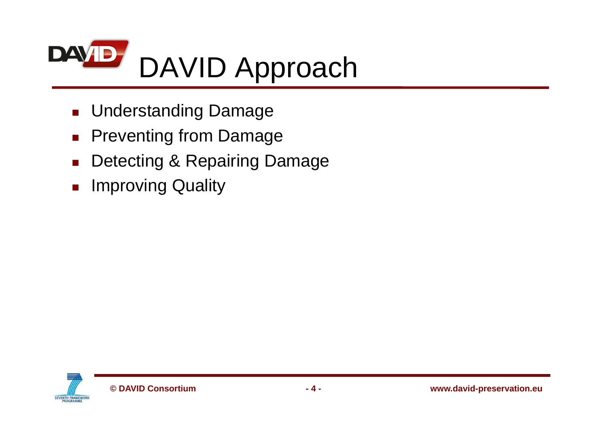

- **Landing Damage** Damage
- $\mathcal{L}_{\mathcal{A}}$ Preventing from Damage
- $\mathbf{r}$ Detecting & Repairing Damage
- **Improving Quality**

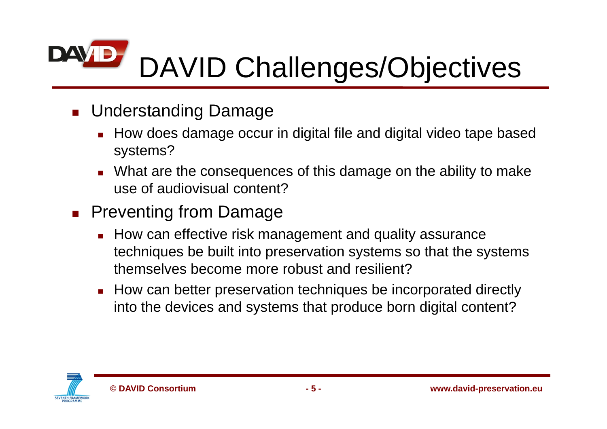### **DAVIB** DAVID Challenges/Objectives

- **Landing Damage** Damage
	- How does damage occur in digital file and digital video tape based systems?
	- What are the consequences of this damage on the ability to make use of audiovisual content?
- **Preventing from Damage** 
	- **How can effective risk management and quality assurance** techniques be built into preservation systems so that the systems themselves become more robust and resilient?
	- **How can better preservation techniques be incorporated directly** into the devices and systems that produce born digital content?

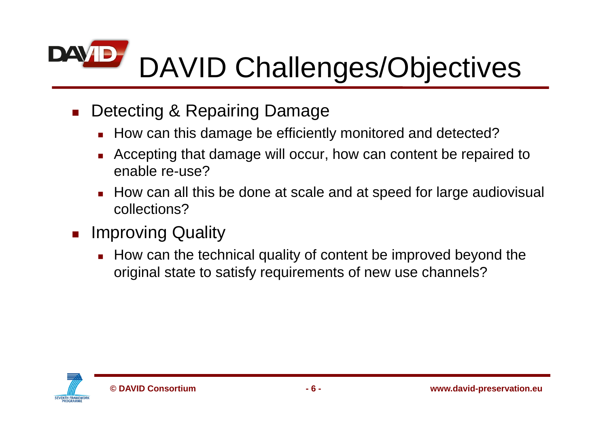### **DAVIB** DAVID Challenges/Objectives

- Г Detecting & Repairing Damage
	- **How can this damage be efficiently monitored and detected?**
	- Г Accepting that damage will occur, how can content be repaired to enable re-use?
	- Г How can all this be done at scale and at speed for large audiovisual collections?
- **Improving Quality** 
	- **How can the technical quality of content be improved beyond the** original state to satisfy requirements of new use channels?

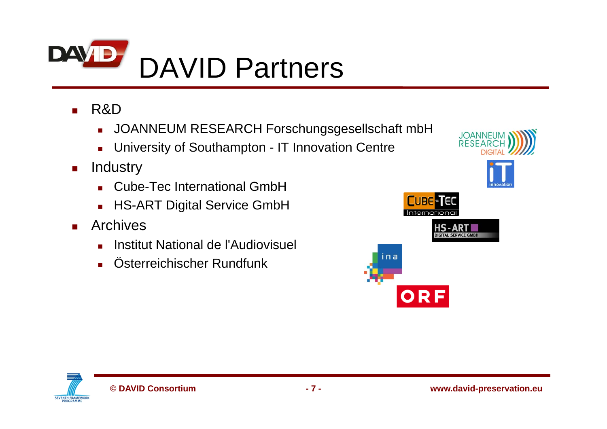

- $\mathbf{r}$  R&D
	- JOANNEUM RESEARCH Forschungsgesellschaft mbH
	- $\mathbf{r}$ University of Southampton - IT Innovation Centre
- $\blacksquare$  Industry
	- **Cube-Tec International GmbH**
	- $\mathbf{r}$ HS-ART Digital Service GmbH
- **College**  Archives
	- Г Institut National de l'Audiovisuel
	- Г Österreichischer Rundfunk

**JOANNEUM RESEARC CUBE-TEC** Internation IS - ART ina ORF